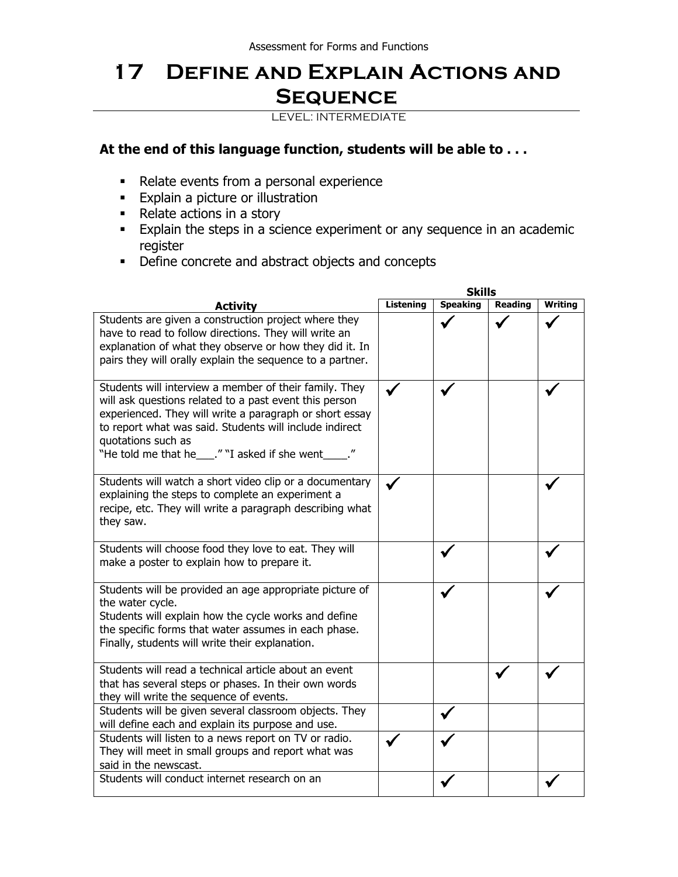## **17 Define and Explain Actions and Sequence**

LEVEL: INTERMEDIATE

## **At the end of this language function, students will be able to . . .**

- Relate events from a personal experience
- **Explain a picture or illustration**
- Relate actions in a story
- **Explain the steps in a science experiment or any sequence in an academic** register
- Define concrete and abstract objects and concepts

|                                                                                                                                                                                                                                                                                                                | <b>Skills</b> |                 |         |         |  |
|----------------------------------------------------------------------------------------------------------------------------------------------------------------------------------------------------------------------------------------------------------------------------------------------------------------|---------------|-----------------|---------|---------|--|
| <b>Activity</b>                                                                                                                                                                                                                                                                                                | Listening     | <b>Speaking</b> | Reading | Writing |  |
| Students are given a construction project where they<br>have to read to follow directions. They will write an<br>explanation of what they observe or how they did it. In<br>pairs they will orally explain the sequence to a partner.                                                                          |               |                 |         |         |  |
| Students will interview a member of their family. They<br>will ask questions related to a past event this person<br>experienced. They will write a paragraph or short essay<br>to report what was said. Students will include indirect<br>quotations such as<br>"He told me that he___." "I asked if she went_ |               |                 |         |         |  |
| Students will watch a short video clip or a documentary<br>explaining the steps to complete an experiment a<br>recipe, etc. They will write a paragraph describing what<br>they saw.                                                                                                                           |               |                 |         |         |  |
| Students will choose food they love to eat. They will<br>make a poster to explain how to prepare it.                                                                                                                                                                                                           |               |                 |         |         |  |
| Students will be provided an age appropriate picture of<br>the water cycle.<br>Students will explain how the cycle works and define<br>the specific forms that water assumes in each phase.<br>Finally, students will write their explanation.                                                                 |               |                 |         |         |  |
| Students will read a technical article about an event<br>that has several steps or phases. In their own words<br>they will write the sequence of events.                                                                                                                                                       |               |                 |         |         |  |
| Students will be given several classroom objects. They<br>will define each and explain its purpose and use.                                                                                                                                                                                                    |               |                 |         |         |  |
| Students will listen to a news report on TV or radio.<br>They will meet in small groups and report what was<br>said in the newscast.                                                                                                                                                                           |               |                 |         |         |  |
| Students will conduct internet research on an                                                                                                                                                                                                                                                                  |               |                 |         |         |  |